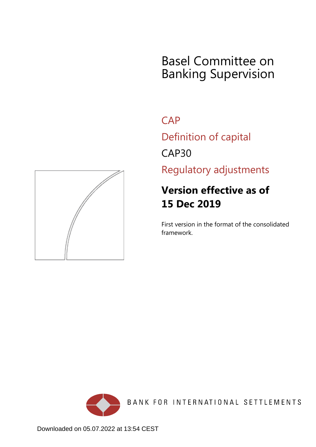# Basel Committee on Banking Supervision

**CAP** 

Definition of capital

CAP30

Regulatory adjustments

# **Version effective as of 15 Dec 2019**

First version in the format of the consolidated framework.



BANK FOR INTERNATIONAL SETTLEMENTS

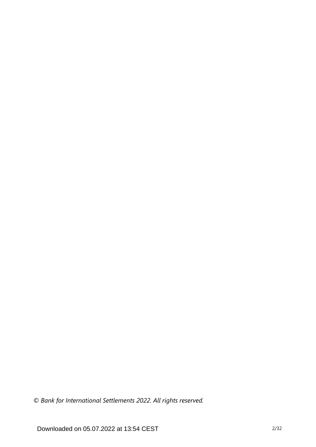*© Bank for International Settlements 2022. All rights reserved.*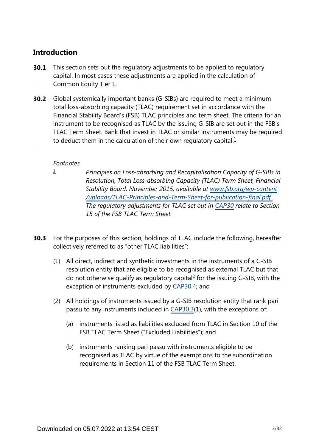## **Introduction**

- This section sets out the regulatory adjustments to be applied to regulatory capital. In most cases these adjustments are applied in the calculation of Common Equity Tier 1. **30.1**
- <span id="page-2-1"></span>**30.2** Global systemically important banks (G-SIBs) are required to meet a minimum total loss-absorbing capacity (TLAC) requirement set in accordance with the Financial Stability Board's (FSB) TLAC principles and term sheet. The criteria for an instrument to be recognised as TLAC by the issuing G-SIB are set out in the FSB's TLAC Term Sheet. Bank that invest in TLAC or similar instruments may be required to deduct them in the calculation of their own regulatory capital. $<sup>1</sup>$  $<sup>1</sup>$  $<sup>1</sup>$ </sup>

#### *Footnotes*

<span id="page-2-0"></span>*[1](#page-2-1)*

- *Principles on Loss-absorbing and Recapitalisation Capacity of G-SIBs in Resolution, Total Loss-absorbing Capacity (TLAC) Term Sheet, Financial Stability Board, November 2015, available at [www.fsb.org/wp-content](http://www.fsb.org/wp-content/uploads/TLAC-Principles-and-Term-Sheet-for-publication-final.pdf) [/uploads/TLAC-Principles-and-Term-Sheet-for-publication-final.pdf](http://www.fsb.org/wp-content/uploads/TLAC-Principles-and-Term-Sheet-for-publication-final.pdf) . The regulatory adjustments for TLAC set out in [CAP30](https://www.bis.org/basel_framework/chapter/CAP/30.htm?tldate=20210228&inforce=20191215&published=20191215) relate to Section 15 of the FSB TLAC Term Sheet.*
- <span id="page-2-2"></span>For the purposes of this section, holdings of TLAC include the following, hereafter collectively referred to as "other TLAC liabilities": **30.3**
	- (1) All direct, indirect and synthetic investments in the instruments of a G-SIB resolution entity that are eligible to be recognised as external TLAC but that do not otherwise qualify as regulatory capital $^{2}$  $^{2}$  $^{2}$  for the issuing G-SIB, with the exception of instruments excluded by [CAP30.4;](https://www.bis.org/basel_framework/chapter/CAP/30.htm?tldate=20210228&inforce=20191215&published=20191215#paragraph_CAP_30_20191215_30_4) and
	- (2) All holdings of instruments issued by a G-SIB resolution entity that rank pari passu to any instruments included in [CAP30.3](https://www.bis.org/basel_framework/chapter/CAP/30.htm?tldate=20210228&inforce=20191215&published=20191215#paragraph_CAP_30_20191215_30_3)(1), with the exceptions of:
		- (a) instruments listed as liabilities excluded from TLAC in Section 10 of the FSB TLAC Term Sheet ("Excluded Liabilities"); and
		- (b) instruments ranking pari passu with instruments eligible to be recognised as TLAC by virtue of the exemptions to the subordination requirements in Section 11 of the FSB TLAC Term Sheet.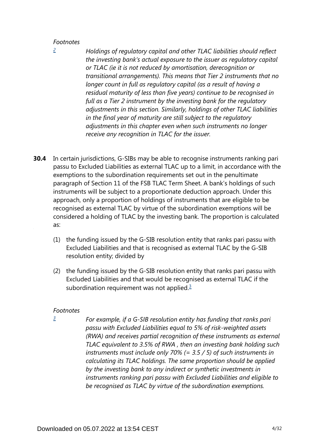#### *Footnotes*

<span id="page-3-0"></span>*[2](#page-2-2)*

*Holdings of regulatory capital and other TLAC liabilities should reflect the investing bank's actual exposure to the issuer as regulatory capital or TLAC (ie it is not reduced by amortisation, derecognition or transitional arrangements). This means that Tier 2 instruments that no longer count in full as regulatory capital (as a result of having a residual maturity of less than five years) continue to be recognised in full as a Tier 2 instrument by the investing bank for the regulatory adjustments in this section. Similarly, holdings of other TLAC liabilities in the final year of maturity are still subject to the regulatory adjustments in this chapter even when such instruments no longer receive any recognition in TLAC for the issuer.*

- In certain jurisdictions, G-SIBs may be able to recognise instruments ranking pari passu to Excluded Liabilities as external TLAC up to a limit, in accordance with the exemptions to the subordination requirements set out in the penultimate paragraph of Section 11 of the FSB TLAC Term Sheet. A bank's holdings of such instruments will be subject to a proportionate deduction approach. Under this approach, only a proportion of holdings of instruments that are eligible to be recognised as external TLAC by virtue of the subordination exemptions will be considered a holding of TLAC by the investing bank. The proportion is calculated as: **30.4**
	- (1) the funding issued by the G-SIB resolution entity that ranks pari passu with Excluded Liabilities and that is recognised as external TLAC by the G-SIB resolution entity; divided by
	- (2) the funding issued by the G-SIB resolution entity that ranks pari passu with Excluded Liabilities and that would be recognised as external TLAC if the subordination requirement was not applied. $\frac{3}{2}$  $\frac{3}{2}$  $\frac{3}{2}$

#### <span id="page-3-2"></span>*Footnotes*

<span id="page-3-1"></span>*[3](#page-3-2)*

*For example, if a G-SIB resolution entity has funding that ranks pari passu with Excluded Liabilities equal to 5% of risk-weighted assets (RWA) and receives partial recognition of these instruments as external TLAC equivalent to 3.5% of RWA , then an investing bank holding such instruments must include only 70% (= 3.5 / 5) of such instruments in calculating its TLAC holdings. The same proportion should be applied by the investing bank to any indirect or synthetic investments in instruments ranking pari passu with Excluded Liabilities and eligible to be recognised as TLAC by virtue of the subordination exemptions.*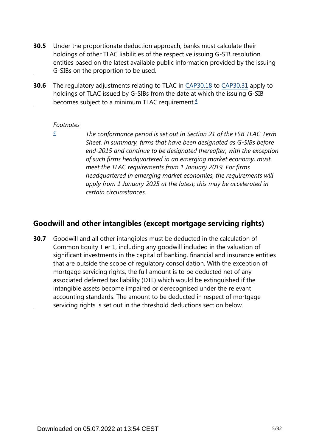- Under the proportionate deduction approach, banks must calculate their holdings of other TLAC liabilities of the respective issuing G-SIB resolution entities based on the latest available public information provided by the issuing G-SIBs on the proportion to be used. **30.5**
- <span id="page-4-1"></span>The regulatory adjustments relating to TLAC in [CAP30.18](https://www.bis.org/basel_framework/chapter/CAP/30.htm?tldate=20210228&inforce=20191215&published=20191215#paragraph_CAP_30_20191215_30_18) to [CAP30.31](https://www.bis.org/basel_framework/chapter/CAP/30.htm?tldate=20210228&inforce=20191215&published=20191215#paragraph_CAP_30_20191215_30_31) apply to holdings of TLAC issued by G-SIBs from the date at which the issuing G-SIB becomes subject to a minimum TLAC requirement. $4$ **30.6**

#### *Footnotes*

<span id="page-4-0"></span>*[4](#page-4-1)*

*The conformance period is set out in Section 21 of the FSB TLAC Term Sheet. In summary, firms that have been designated as G-SIBs before end-2015 and continue to be designated thereafter, with the exception of such firms headquartered in an emerging market economy, must meet the TLAC requirements from 1 January 2019. For firms headquartered in emerging market economies, the requirements will apply from 1 January 2025 at the latest; this may be accelerated in certain circumstances.*

### **Goodwill and other intangibles (except mortgage servicing rights)**

Goodwill and all other intangibles must be deducted in the calculation of Common Equity Tier 1, including any goodwill included in the valuation of significant investments in the capital of banking, financial and insurance entities that are outside the scope of regulatory consolidation. With the exception of mortgage servicing rights, the full amount is to be deducted net of any associated deferred tax liability (DTL) which would be extinguished if the intangible assets become impaired or derecognised under the relevant accounting standards. The amount to be deducted in respect of mortgage servicing rights is set out in the threshold deductions section below. **30.7**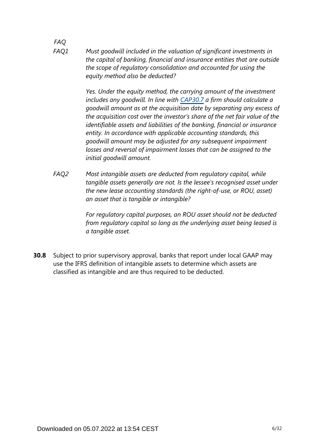*FAQ Must goodwill included in the valuation of significant investments in the capital of banking, financial and insurance entities that are outside the scope of regulatory consolidation and accounted for using the equity method also be deducted? FAQ1*

> *Yes. Under the equity method, the carrying amount of the investment includes any goodwill. In line with [CAP30.7](https://www.bis.org/basel_framework/chapter/CAP/30.htm?tldate=20210228&inforce=20191215&published=20191215#paragraph_CAP_30_20191215_30_7) a firm should calculate a goodwill amount as at the acquisition date by separating any excess of the acquisition cost over the investor's share of the net fair value of the identifiable assets and liabilities of the banking, financial or insurance entity. In accordance with applicable accounting standards, this goodwill amount may be adjusted for any subsequent impairment losses and reversal of impairment losses that can be assigned to the initial goodwill amount.*

*Most intangible assets are deducted from regulatory capital, while tangible assets generally are not. Is the lessee's recognised asset under the new lease accounting standards (the right-of-use, or ROU, asset) an asset that is tangible or intangible? FAQ2*

> *For regulatory capital purposes, an ROU asset should not be deducted from regulatory capital so long as the underlying asset being leased is a tangible asset.*

Subject to prior supervisory approval, banks that report under local GAAP may use the IFRS definition of intangible assets to determine which assets are classified as intangible and are thus required to be deducted. **30.8**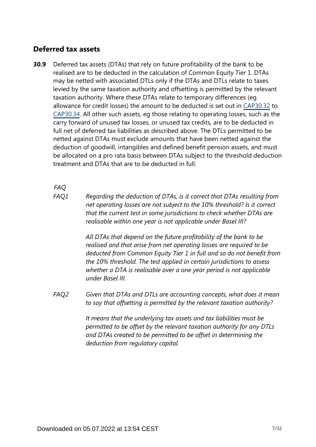### **Deferred tax assets**

Deferred tax assets (DTAs) that rely on future profitability of the bank to be realised are to be deducted in the calculation of Common Equity Tier 1. DTAs may be netted with associated DTLs only if the DTAs and DTLs relate to taxes levied by the same taxation authority and offsetting is permitted by the relevant taxation authority. Where these DTAs relate to temporary differences (eg allowance for credit losses) the amount to be deducted is set out in [CAP30.32](https://www.bis.org/basel_framework/chapter/CAP/30.htm?tldate=20210228&inforce=20191215&published=20191215#paragraph_CAP_30_20191215_30_32) to [CAP30.34.](https://www.bis.org/basel_framework/chapter/CAP/30.htm?tldate=20210228&inforce=20191215&published=20191215#paragraph_CAP_30_20191215_30_34) All other such assets, eg those relating to operating losses, such as the carry forward of unused tax losses, or unused tax credits, are to be deducted in full net of deferred tax liabilities as described above. The DTLs permitted to be netted against DTAs must exclude amounts that have been netted against the deduction of goodwill, intangibles and defined benefit pension assets, and must be allocated on a pro rata basis between DTAs subject to the threshold deduction treatment and DTAs that are to be deducted in full. **30.9**

*FAQ*

*Regarding the deduction of DTAs, is it correct that DTAs resulting from net operating losses are not subject to the 10% threshold? Is it correct that the current test in some jurisdictions to check whether DTAs are realisable within one year is not applicable under Basel III? FAQ1*

> *All DTAs that depend on the future profitability of the bank to be realised and that arise from net operating losses are required to be deducted from Common Equity Tier 1 in full and so do not benefit from the 10% threshold. The test applied in certain jurisdictions to assess whether a DTA is realisable over a one year period is not applicable under Basel III.*

*Given that DTAs and DTLs are accounting concepts, what does it mean to say that offsetting is permitted by the relevant taxation authority? FAQ2*

> *It means that the underlying tax assets and tax liabilities must be permitted to be offset by the relevant taxation authority for any DTLs and DTAs created to be permitted to be offset in determining the deduction from regulatory capital.*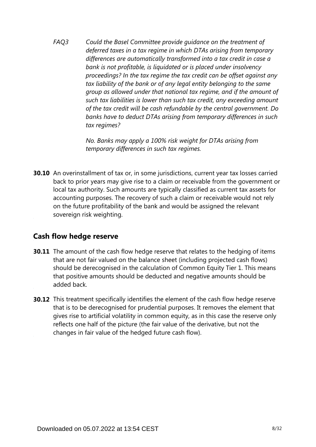*Could the Basel Committee provide guidance on the treatment of deferred taxes in a tax regime in which DTAs arising from temporary differences are automatically transformed into a tax credit in case a bank is not profitable, is liquidated or is placed under insolvency proceedings? In the tax regime the tax credit can be offset against any tax liability of the bank or of any legal entity belonging to the same group as allowed under that national tax regime, and if the amount of such tax liabilities is lower than such tax credit, any exceeding amount of the tax credit will be cash refundable by the central government. Do banks have to deduct DTAs arising from temporary differences in such tax regimes? FAQ3*

> *No. Banks may apply a 100% risk weight for DTAs arising from temporary differences in such tax regimes.*

**30.10** An overinstallment of tax or, in some jurisdictions, current year tax losses carried back to prior years may give rise to a claim or receivable from the government or local tax authority. Such amounts are typically classified as current tax assets for accounting purposes. The recovery of such a claim or receivable would not rely on the future profitability of the bank and would be assigned the relevant sovereign risk weighting.

#### **Cash flow hedge reserve**

- **30.11** The amount of the cash flow hedge reserve that relates to the hedging of items that are not fair valued on the balance sheet (including projected cash flows) should be derecognised in the calculation of Common Equity Tier 1. This means that positive amounts should be deducted and negative amounts should be added back.
- **30.12** This treatment specifically identifies the element of the cash flow hedge reserve that is to be derecognised for prudential purposes. It removes the element that gives rise to artificial volatility in common equity, as in this case the reserve only reflects one half of the picture (the fair value of the derivative, but not the changes in fair value of the hedged future cash flow).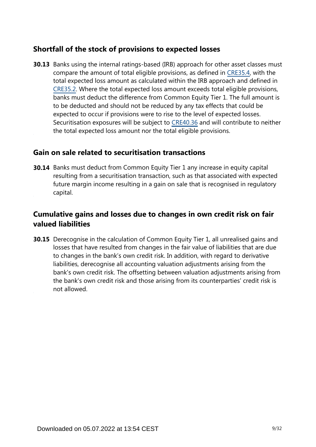## **Shortfall of the stock of provisions to expected losses**

**30.13** Banks using the internal ratings-based (IRB) approach for other asset classes must compare the amount of total eligible provisions, as defined in [CRE35.4,](https://www.bis.org/basel_framework/chapter/CRE/35.htm?tldate=20210228&inforce=20191215&published=20191215#paragraph_CRE_35_20191215_35_4) with the total expected loss amount as calculated within the IRB approach and defined in [CRE35.2.](https://www.bis.org/basel_framework/chapter/CRE/35.htm?tldate=20210228&inforce=20191215&published=20191215#paragraph_CRE_35_20191215_35_2) Where the total expected loss amount exceeds total eligible provisions, banks must deduct the difference from Common Equity Tier 1. The full amount is to be deducted and should not be reduced by any tax effects that could be expected to occur if provisions were to rise to the level of expected losses. Securitisation exposures will be subject to [CRE40.36](https://www.bis.org/basel_framework/chapter/CRE/40.htm?tldate=20210228&inforce=20191215&published=20191215#paragraph_CRE_40_20191215_40_36) and will contribute to neither the total expected loss amount nor the total eligible provisions.

#### **Gain on sale related to securitisation transactions**

**30.14** Banks must deduct from Common Equity Tier 1 any increase in equity capital resulting from a securitisation transaction, such as that associated with expected future margin income resulting in a gain on sale that is recognised in regulatory capital.

## **Cumulative gains and losses due to changes in own credit risk on fair valued liabilities**

**30.15** Derecognise in the calculation of Common Equity Tier 1, all unrealised gains and losses that have resulted from changes in the fair value of liabilities that are due to changes in the bank's own credit risk. In addition, with regard to derivative liabilities, derecognise all accounting valuation adjustments arising from the bank's own credit risk. The offsetting between valuation adjustments arising from the bank's own credit risk and those arising from its counterparties' credit risk is not allowed.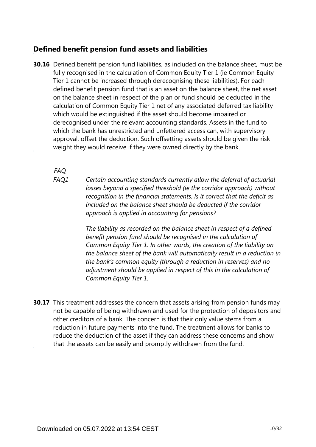## **Defined benefit pension fund assets and liabilities**

**30.16** Defined benefit pension fund liabilities, as included on the balance sheet, must be fully recognised in the calculation of Common Equity Tier 1 (ie Common Equity Tier 1 cannot be increased through derecognising these liabilities). For each defined benefit pension fund that is an asset on the balance sheet, the net asset on the balance sheet in respect of the plan or fund should be deducted in the calculation of Common Equity Tier 1 net of any associated deferred tax liability which would be extinguished if the asset should become impaired or derecognised under the relevant accounting standards. Assets in the fund to which the bank has unrestricted and unfettered access can, with supervisory approval, offset the deduction. Such offsetting assets should be given the risk weight they would receive if they were owned directly by the bank.

*FAQ*

*Certain accounting standards currently allow the deferral of actuarial losses beyond a specified threshold (ie the corridor approach) without recognition in the financial statements. Is it correct that the deficit as included on the balance sheet should be deducted if the corridor approach is applied in accounting for pensions? FAQ1*

> *The liability as recorded on the balance sheet in respect of a defined benefit pension fund should be recognised in the calculation of Common Equity Tier 1. In other words, the creation of the liability on the balance sheet of the bank will automatically result in a reduction in the bank's common equity (through a reduction in reserves) and no adjustment should be applied in respect of this in the calculation of Common Equity Tier 1.*

**30.17** This treatment addresses the concern that assets arising from pension funds may not be capable of being withdrawn and used for the protection of depositors and other creditors of a bank. The concern is that their only value stems from a reduction in future payments into the fund. The treatment allows for banks to reduce the deduction of the asset if they can address these concerns and show that the assets can be easily and promptly withdrawn from the fund.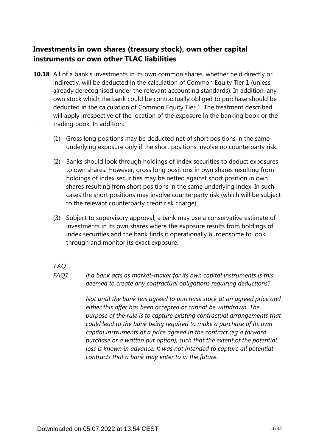## **Investments in own shares (treasury stock), own other capital instruments or own other TLAC liabilities**

- **30.18** All of a bank's investments in its own common shares, whether held directly or indirectly, will be deducted in the calculation of Common Equity Tier 1 (unless already derecognised under the relevant accounting standards). In addition, any own stock which the bank could be contractually obliged to purchase should be deducted in the calculation of Common Equity Tier 1. The treatment described will apply irrespective of the location of the exposure in the banking book or the trading book. In addition:
	- (1) Gross long positions may be deducted net of short positions in the same underlying exposure only if the short positions involve no counterparty risk.
	- (2) Banks should look through holdings of index securities to deduct exposures to own shares. However, gross long positions in own shares resulting from holdings of index securities may be netted against short position in own shares resulting from short positions in the same underlying index. In such cases the short positions may involve counterparty risk (which will be subject to the relevant counterparty credit risk charge).
	- (3) Subject to supervisory approval, a bank may use a conservative estimate of investments in its own shares where the exposure results from holdings of index securities and the bank finds it operationally burdensome to look through and monitor its exact exposure.

*FAQ*

*If a bank acts as market-maker for its own capital instruments is this deemed to create any contractual obligations requiring deductions? FAQ1*

> *Not until the bank has agreed to purchase stock at an agreed price and either this offer has been accepted or cannot be withdrawn. The purpose of the rule is to capture existing contractual arrangements that could lead to the bank being required to make a purchase of its own capital instruments at a price agreed in the contract (eg a forward purchase or a written put option), such that the extent of the potential loss is known in advance. It was not intended to capture all potential contracts that a bank may enter to in the future.*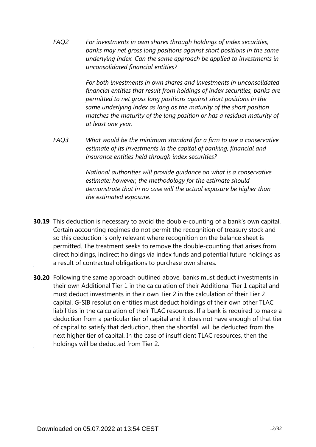*For investments in own shares through holdings of index securities, banks may net gross long positions against short positions in the same underlying index. Can the same approach be applied to investments in unconsolidated financial entities? FAQ2*

> *For both investments in own shares and investments in unconsolidated financial entities that result from holdings of index securities, banks are permitted to net gross long positions against short positions in the same underlying index as long as the maturity of the short position matches the maturity of the long position or has a residual maturity of at least one year.*

*What would be the minimum standard for a firm to use a conservative estimate of its investments in the capital of banking, financial and insurance entities held through index securities? FAQ3*

> *National authorities will provide guidance on what is a conservative estimate; however, the methodology for the estimate should demonstrate that in no case will the actual exposure be higher than the estimated exposure.*

- **30.19** This deduction is necessary to avoid the double-counting of a bank's own capital. Certain accounting regimes do not permit the recognition of treasury stock and so this deduction is only relevant where recognition on the balance sheet is permitted. The treatment seeks to remove the double-counting that arises from direct holdings, indirect holdings via index funds and potential future holdings as a result of contractual obligations to purchase own shares.
- **30.20** Following the same approach outlined above, banks must deduct investments in their own Additional Tier 1 in the calculation of their Additional Tier 1 capital and must deduct investments in their own Tier 2 in the calculation of their Tier 2 capital. G-SIB resolution entities must deduct holdings of their own other TLAC liabilities in the calculation of their TLAC resources. If a bank is required to make a deduction from a particular tier of capital and it does not have enough of that tier of capital to satisfy that deduction, then the shortfall will be deducted from the next higher tier of capital. In the case of insufficient TLAC resources, then the holdings will be deducted from Tier 2.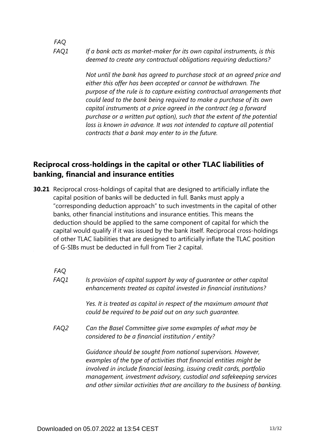*If a bank acts as market-maker for its own capital instruments, is this deemed to create any contractual obligations requiring deductions? FAQ1*

> *Not until the bank has agreed to purchase stock at an agreed price and either this offer has been accepted or cannot be withdrawn. The purpose of the rule is to capture existing contractual arrangements that could lead to the bank being required to make a purchase of its own capital instruments at a price agreed in the contract (eg a forward purchase or a written put option), such that the extent of the potential loss is known in advance. It was not intended to capture all potential contracts that a bank may enter to in the future.*

## **Reciprocal cross-holdings in the capital or other TLAC liabilities of banking, financial and insurance entities**

**30.21** Reciprocal cross-holdings of capital that are designed to artificially inflate the capital position of banks will be deducted in full. Banks must apply a "corresponding deduction approach" to such investments in the capital of other banks, other financial institutions and insurance entities. This means the deduction should be applied to the same component of capital for which the capital would qualify if it was issued by the bank itself. Reciprocal cross-holdings of other TLAC liabilities that are designed to artificially inflate the TLAC position of G-SIBs must be deducted in full from Tier 2 capital.

*FAQ*

*FAQ*

| FAQ1 | Is provision of capital support by way of quarantee or other capital<br>enhancements treated as capital invested in financial institutions?                                                                                                                                                                                                                          |
|------|----------------------------------------------------------------------------------------------------------------------------------------------------------------------------------------------------------------------------------------------------------------------------------------------------------------------------------------------------------------------|
|      | Yes. It is treated as capital in respect of the maximum amount that<br>could be required to be paid out on any such quarantee.                                                                                                                                                                                                                                       |
| FAQ2 | Can the Basel Committee give some examples of what may be<br>considered to be a financial institution / entity?                                                                                                                                                                                                                                                      |
|      | Guidance should be sought from national supervisors. However,<br>examples of the type of activities that financial entities might be<br>involved in include financial leasing, issuing credit cards, portfolio<br>management, investment advisory, custodial and safekeeping services<br>and other similar activities that are ancillary to the business of banking. |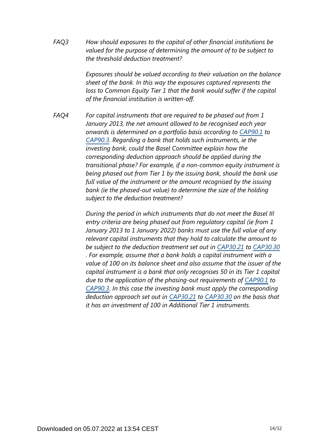*How should exposures to the capital of other financial institutions be valued for the purpose of determining the amount of to be subject to the threshold deduction treatment? FAQ3*

> *Exposures should be valued according to their valuation on the balance sheet of the bank. In this way the exposures captured represents the loss to Common Equity Tier 1 that the bank would suffer if the capital of the financial institution is written-off.*

*For capital instruments that are required to be phased out from 1 January 2013, the net amount allowed to be recognised each year onwards is determined on a portfolio basis according to [CAP90.1](https://www.bis.org/basel_framework/chapter/CAP/90.htm?tldate=20210228&inforce=20200403&published=20200403#paragraph_CAP_90_20200403_90_1) to [CAP90.3.](https://www.bis.org/basel_framework/chapter/CAP/90.htm?tldate=20210228&inforce=20200403&published=20200403#paragraph_CAP_90_20200403_90_3) Regarding a bank that holds such instruments, ie the investing bank, could the Basel Committee explain how the corresponding deduction approach should be applied during the transitional phase? For example, if a non-common equity instrument is being phased out from Tier 1 by the issuing bank, should the bank use full value of the instrument or the amount recognised by the issuing bank (ie the phased-out value) to determine the size of the holding subject to the deduction treatment? FAQ4*

> *During the period in which instruments that do not meet the Basel III entry criteria are being phased out from regulatory capital (ie from 1 January 2013 to 1 January 2022) banks must use the full value of any relevant capital instruments that they hold to calculate the amount to be subject to the deduction treatment set out in [CAP30.21](https://www.bis.org/basel_framework/chapter/CAP/30.htm?tldate=20210228&inforce=20191215&published=20191215#paragraph_CAP_30_20191215_30_21) to [CAP30.30](https://www.bis.org/basel_framework/chapter/CAP/30.htm?tldate=20210228&inforce=20191215&published=20191215#paragraph_CAP_30_20191215_30_30) . For example, assume that a bank holds a capital instrument with a value of 100 on its balance sheet and also assume that the issuer of the capital instrument is a bank that only recognises 50 in its Tier 1 capital due to the application of the phasing-out requirements of [CAP90.1](https://www.bis.org/basel_framework/chapter/CAP/90.htm?tldate=20210228&inforce=20200403&published=20200403#paragraph_CAP_90_20200403_90_1) to [CAP90.3.](https://www.bis.org/basel_framework/chapter/CAP/90.htm?tldate=20210228&inforce=20200403&published=20200403#paragraph_CAP_90_20200403_90_3) In this case the investing bank must apply the corresponding deduction approach set out in [CAP30.21](https://www.bis.org/basel_framework/chapter/CAP/30.htm?tldate=20210228&inforce=20191215&published=20191215#paragraph_CAP_30_20191215_30_21) to [CAP30.30](https://www.bis.org/basel_framework/chapter/CAP/30.htm?tldate=20210228&inforce=20191215&published=20191215#paragraph_CAP_30_20191215_30_30) on the basis that it has an investment of 100 in Additional Tier 1 instruments.*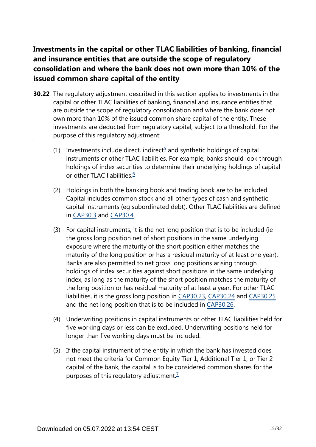# **Investments in the capital or other TLAC liabilities of banking, financial and insurance entities that are outside the scope of regulatory consolidation and where the bank does not own more than 10% of the issued common share capital of the entity**

- <span id="page-14-2"></span><span id="page-14-1"></span><span id="page-14-0"></span>**30.22** The regulatory adjustment described in this section applies to investments in the capital or other TLAC liabilities of banking, financial and insurance entities that are outside the scope of regulatory consolidation and where the bank does not own more than 10% of the issued common share capital of the entity. These investments are deducted from regulatory capital, subject to a threshold. For the purpose of this regulatory adjustment:
	- (1) Investments include direct, indirect<sup>[5](#page-15-0)</sup> and synthetic holdings of capital instruments or other TLAC liabilities. For example, banks should look through holdings of index securities to determine their underlying holdings of capital or other TLAC liabilities.<sup>[6](#page-15-1)</sup>
	- (2) Holdings in both the banking book and trading book are to be included. Capital includes common stock and all other types of cash and synthetic capital instruments (eg subordinated debt). Other TLAC liabilities are defined in [CAP30.3](https://www.bis.org/basel_framework/chapter/CAP/30.htm?tldate=20210228&inforce=20191215&published=20191215#paragraph_CAP_30_20191215_30_3) and [CAP30.4](https://www.bis.org/basel_framework/chapter/CAP/30.htm?tldate=20210228&inforce=20191215&published=20191215#paragraph_CAP_30_20191215_30_4).
	- (3) For capital instruments, it is the net long position that is to be included (ie the gross long position net of short positions in the same underlying exposure where the maturity of the short position either matches the maturity of the long position or has a residual maturity of at least one year). Banks are also permitted to net gross long positions arising through holdings of index securities against short positions in the same underlying index, as long as the maturity of the short position matches the maturity of the long position or has residual maturity of at least a year. For other TLAC liabilities, it is the gross long position in [CAP30.23,](https://www.bis.org/basel_framework/chapter/CAP/30.htm?tldate=20210228&inforce=20191215&published=20191215#paragraph_CAP_30_20191215_30_23) [CAP30.24](https://www.bis.org/basel_framework/chapter/CAP/30.htm?tldate=20210228&inforce=20191215&published=20191215#paragraph_CAP_30_20191215_30_24) and [CAP30.25](https://www.bis.org/basel_framework/chapter/CAP/30.htm?tldate=20210228&inforce=20191215&published=20191215#paragraph_CAP_30_20191215_30_25) and the net long position that is to be included in [CAP30.26](https://www.bis.org/basel_framework/chapter/CAP/30.htm?tldate=20210228&inforce=20191215&published=20191215#paragraph_CAP_30_20191215_30_26).
	- (4) Underwriting positions in capital instruments or other TLAC liabilities held for five working days or less can be excluded. Underwriting positions held for longer than five working days must be included.
	- (5) If the capital instrument of the entity in which the bank has invested does not meet the criteria for Common Equity Tier 1, Additional Tier 1, or Tier 2 capital of the bank, the capital is to be considered common shares for the purposes of this regulatory adjustment.<sup>[7](#page-15-2)</sup>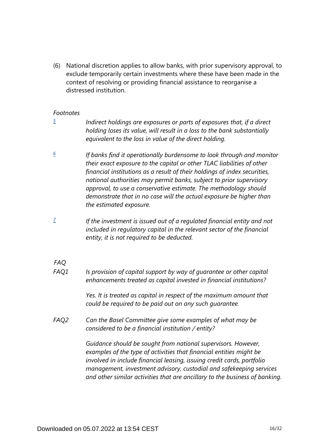(6) National discretion applies to allow banks, with prior supervisory approval, to exclude temporarily certain investments where these have been made in the context of resolving or providing financial assistance to reorganise a distressed institution.

#### *Footnotes*

- <span id="page-15-0"></span>*[5](#page-14-0)*
	- *Indirect holdings are exposures or parts of exposures that, if a direct holding loses its value, will result in a loss to the bank substantially equivalent to the loss in value of the direct holding.*
- <span id="page-15-1"></span>*If banks find it operationally burdensome to look through and monitor their exact exposure to the capital or other TLAC liabilities of other financial institutions as a result of their holdings of index securities, national authorities may permit banks, subject to prior supervisory approval, to use a conservative estimate. The methodology should demonstrate that in no case will the actual exposure be higher than the estimated exposure. [6](#page-14-1)*
- <span id="page-15-2"></span>*If the investment is issued out of a regulated financial entity and not included in regulatory capital in the relevant sector of the financial entity, it is not required to be deducted. [7](#page-14-2)*

*FAQ*

*Is provision of capital support by way of guarantee or other capital enhancements treated as capital invested in financial institutions? FAQ1*

> *Yes. It is treated as capital in respect of the maximum amount that could be required to be paid out on any such guarantee.*

*Can the Basel Committee give some examples of what may be considered to be a financial institution / entity? FAQ2*

> *Guidance should be sought from national supervisors. However, examples of the type of activities that financial entities might be involved in include financial leasing, issuing credit cards, portfolio management, investment advisory, custodial and safekeeping services and other similar activities that are ancillary to the business of banking.*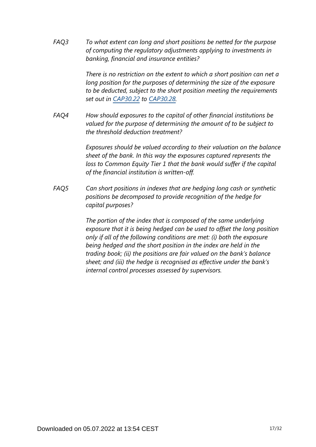*To what extent can long and short positions be netted for the purpose of computing the regulatory adjustments applying to investments in banking, financial and insurance entities? FAQ3*

> *There is no restriction on the extent to which a short position can net a long position for the purposes of determining the size of the exposure to be deducted, subject to the short position meeting the requirements set out in [CAP30.22](https://www.bis.org/basel_framework/chapter/CAP/30.htm?tldate=20210228&inforce=20191215&published=20191215#paragraph_CAP_30_20191215_30_22) to [CAP30.28.](https://www.bis.org/basel_framework/chapter/CAP/30.htm?tldate=20210228&inforce=20191215&published=20191215#paragraph_CAP_30_20191215_30_28)*

*How should exposures to the capital of other financial institutions be valued for the purpose of determining the amount of to be subject to the threshold deduction treatment? FAQ4*

> *Exposures should be valued according to their valuation on the balance sheet of the bank. In this way the exposures captured represents the loss to Common Equity Tier 1 that the bank would suffer if the capital of the financial institution is written-off.*

*Can short positions in indexes that are hedging long cash or synthetic positions be decomposed to provide recognition of the hedge for capital purposes? FAQ5*

> *The portion of the index that is composed of the same underlying exposure that it is being hedged can be used to offset the long position only if all of the following conditions are met: (i) both the exposure being hedged and the short position in the index are held in the trading book; (ii) the positions are fair valued on the bank's balance sheet; and (iii) the hedge is recognised as effective under the bank's internal control processes assessed by supervisors.*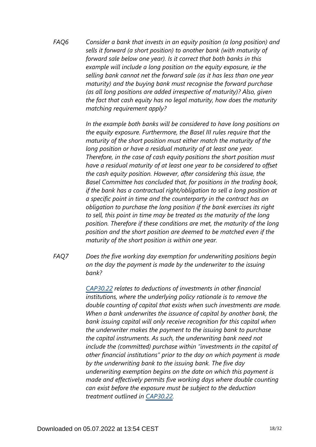*Consider a bank that invests in an equity position (a long position) and sells it forward (a short position) to another bank (with maturity of forward sale below one year). Is it correct that both banks in this example will include a long position on the equity exposure, ie the selling bank cannot net the forward sale (as it has less than one year maturity) and the buying bank must recognise the forward purchase (as all long positions are added irrespective of maturity)? Also, given the fact that cash equity has no legal maturity, how does the maturity matching requirement apply? FAQ6*

> *In the example both banks will be considered to have long positions on the equity exposure. Furthermore, the Basel III rules require that the maturity of the short position must either match the maturity of the long position or have a residual maturity of at least one year. Therefore, in the case of cash equity positions the short position must have a residual maturity of at least one year to be considered to offset the cash equity position. However, after considering this issue, the Basel Committee has concluded that, for positions in the trading book, if the bank has a contractual right/obligation to sell a long position at a specific point in time and the counterparty in the contract has an obligation to purchase the long position if the bank exercises its right to sell, this point in time may be treated as the maturity of the long position. Therefore if these conditions are met, the maturity of the long position and the short position are deemed to be matched even if the maturity of the short position is within one year.*

*Does the five working day exemption for underwriting positions begin on the day the payment is made by the underwriter to the issuing bank? FAQ7*

> *[CAP30.22](https://www.bis.org/basel_framework/chapter/CAP/30.htm?tldate=20210228&inforce=20191215&published=20191215#paragraph_CAP_30_20191215_30_22) relates to deductions of investments in other financial institutions, where the underlying policy rationale is to remove the double counting of capital that exists when such investments are made. When a bank underwrites the issuance of capital by another bank, the bank issuing capital will only receive recognition for this capital when the underwriter makes the payment to the issuing bank to purchase the capital instruments. As such, the underwriting bank need not include the (committed) purchase within "investments in the capital of other financial institutions" prior to the day on which payment is made by the underwriting bank to the issuing bank. The five day underwriting exemption begins on the date on which this payment is made and effectively permits five working days where double counting can exist before the exposure must be subject to the deduction treatment outlined in [CAP30.22](https://www.bis.org/basel_framework/chapter/CAP/30.htm?tldate=20210228&inforce=20191215&published=20191215#paragraph_CAP_30_20191215_30_22).*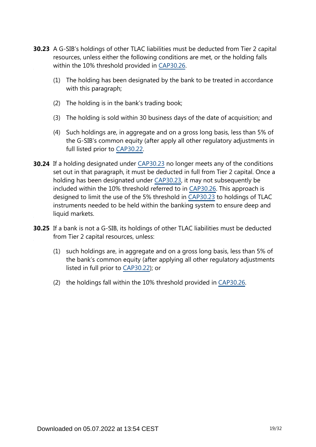- **30.23** A G-SIB's holdings of other TLAC liabilities must be deducted from Tier 2 capital resources, unless either the following conditions are met, or the holding falls within the 10% threshold provided in [CAP30.26](https://www.bis.org/basel_framework/chapter/CAP/30.htm?tldate=20210228&inforce=20191215&published=20191215#paragraph_CAP_30_20191215_30_26).
	- (1) The holding has been designated by the bank to be treated in accordance with this paragraph;
	- (2) The holding is in the bank's trading book;
	- (3) The holding is sold within 30 business days of the date of acquisition; and
	- (4) Such holdings are, in aggregate and on a gross long basis, less than 5% of the G-SIB's common equity (after apply all other regulatory adjustments in full listed prior to [CAP30.22](https://www.bis.org/basel_framework/chapter/CAP/30.htm?tldate=20210228&inforce=20191215&published=20191215#paragraph_CAP_30_20191215_30_22).
- **30.24** If a holding designated under [CAP30.23](https://www.bis.org/basel_framework/chapter/CAP/30.htm?tldate=20210228&inforce=20191215&published=20191215#paragraph_CAP_30_20191215_30_23) no longer meets any of the conditions set out in that paragraph, it must be deducted in full from Tier 2 capital. Once a holding has been designated under [CAP30.23](https://www.bis.org/basel_framework/chapter/CAP/30.htm?tldate=20210228&inforce=20191215&published=20191215#paragraph_CAP_30_20191215_30_23), it may not subsequently be included within the 10% threshold referred to in [CAP30.26.](https://www.bis.org/basel_framework/chapter/CAP/30.htm?tldate=20210228&inforce=20191215&published=20191215#paragraph_CAP_30_20191215_30_26) This approach is designed to limit the use of the 5% threshold in [CAP30.23](https://www.bis.org/basel_framework/chapter/CAP/30.htm?tldate=20210228&inforce=20191215&published=20191215#paragraph_CAP_30_20191215_30_23) to holdings of TLAC instruments needed to be held within the banking system to ensure deep and liquid markets.
- **30.25** If a bank is not a G-SIB, its holdings of other TLAC liabilities must be deducted from Tier 2 capital resources, unless:
	- (1) such holdings are, in aggregate and on a gross long basis, less than 5% of the bank's common equity (after applying all other regulatory adjustments listed in full prior to [CAP30.22](https://www.bis.org/basel_framework/chapter/CAP/30.htm?tldate=20210228&inforce=20191215&published=20191215#paragraph_CAP_30_20191215_30_22)); or
	- (2) the holdings fall within the 10% threshold provided in [CAP30.26.](https://www.bis.org/basel_framework/chapter/CAP/30.htm?tldate=20210228&inforce=20191215&published=20191215#paragraph_CAP_30_20191215_30_26)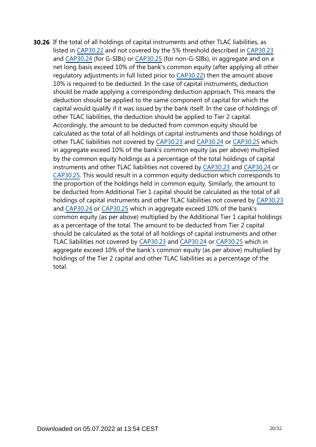**30.26** If the total of all holdings of capital instruments and other TLAC liabilities, as listed in [CAP30.22](https://www.bis.org/basel_framework/chapter/CAP/30.htm?tldate=20210228&inforce=20191215&published=20191215#paragraph_CAP_30_20191215_30_22) and not covered by the 5% threshold described in [CAP30.23](https://www.bis.org/basel_framework/chapter/CAP/30.htm?tldate=20210228&inforce=20191215&published=20191215#paragraph_CAP_30_20191215_30_23) and [CAP30.24](https://www.bis.org/basel_framework/chapter/CAP/30.htm?tldate=20210228&inforce=20191215&published=20191215#paragraph_CAP_30_20191215_30_24) (for G-SIBs) or [CAP30.25](https://www.bis.org/basel_framework/chapter/CAP/30.htm?tldate=20210228&inforce=20191215&published=20191215#paragraph_CAP_30_20191215_30_25) (for non-G-SIBs), in aggregate and on a net long basis exceed 10% of the bank's common equity (after applying all other regulatory adjustments in full listed prior to [CAP30.22\)](https://www.bis.org/basel_framework/chapter/CAP/30.htm?tldate=20210228&inforce=20191215&published=20191215#paragraph_CAP_30_20191215_30_22) then the amount above 10% is required to be deducted. In the case of capital instruments, deduction should be made applying a corresponding deduction approach. This means the deduction should be applied to the same component of capital for which the capital would qualify if it was issued by the bank itself. In the case of holdings of other TLAC liabilities, the deduction should be applied to Tier 2 capital. Accordingly, the amount to be deducted from common equity should be calculated as the total of all holdings of capital instruments and those holdings of other TLAC liabilities not covered by [CAP30.23](https://www.bis.org/basel_framework/chapter/CAP/30.htm?tldate=20210228&inforce=20191215&published=20191215#paragraph_CAP_30_20191215_30_23) and [CAP30.24](https://www.bis.org/basel_framework/chapter/CAP/30.htm?tldate=20210228&inforce=20191215&published=20191215#paragraph_CAP_30_20191215_30_24) or [CAP30.25](https://www.bis.org/basel_framework/chapter/CAP/30.htm?tldate=20210228&inforce=20191215&published=20191215#paragraph_CAP_30_20191215_30_25) which in aggregate exceed 10% of the bank's common equity (as per above) multiplied by the common equity holdings as a percentage of the total holdings of capital instruments and other TLAC liabilities not covered by [CAP30.23](https://www.bis.org/basel_framework/chapter/CAP/30.htm?tldate=20210228&inforce=20191215&published=20191215#paragraph_CAP_30_20191215_30_23) and [CAP30.24](https://www.bis.org/basel_framework/chapter/CAP/30.htm?tldate=20210228&inforce=20191215&published=20191215#paragraph_CAP_30_20191215_30_24) or [CAP30.25.](https://www.bis.org/basel_framework/chapter/CAP/30.htm?tldate=20210228&inforce=20191215&published=20191215#paragraph_CAP_30_20191215_30_25) This would result in a common equity deduction which corresponds to the proportion of the holdings held in common equity. Similarly, the amount to be deducted from Additional Tier 1 capital should be calculated as the total of all holdings of capital instruments and other TLAC liabilities not covered by [CAP30.23](https://www.bis.org/basel_framework/chapter/CAP/30.htm?tldate=20210228&inforce=20191215&published=20191215#paragraph_CAP_30_20191215_30_23) and [CAP30.24](https://www.bis.org/basel_framework/chapter/CAP/30.htm?tldate=20210228&inforce=20191215&published=20191215#paragraph_CAP_30_20191215_30_24) or [CAP30.25](https://www.bis.org/basel_framework/chapter/CAP/30.htm?tldate=20210228&inforce=20191215&published=20191215#paragraph_CAP_30_20191215_30_25) which in aggregate exceed 10% of the bank's common equity (as per above) multiplied by the Additional Tier 1 capital holdings as a percentage of the total. The amount to be deducted from Tier 2 capital should be calculated as the total of all holdings of capital instruments and other TLAC liabilities not covered by [CAP30.23](https://www.bis.org/basel_framework/chapter/CAP/30.htm?tldate=20210228&inforce=20191215&published=20191215#paragraph_CAP_30_20191215_30_23) and [CAP30.24](https://www.bis.org/basel_framework/chapter/CAP/30.htm?tldate=20210228&inforce=20191215&published=20191215#paragraph_CAP_30_20191215_30_24) or [CAP30.25](https://www.bis.org/basel_framework/chapter/CAP/30.htm?tldate=20210228&inforce=20191215&published=20191215#paragraph_CAP_30_20191215_30_25) which in aggregate exceed 10% of the bank's common equity (as per above) multiplied by holdings of the Tier 2 capital and other TLAC liabilities as a percentage of the total.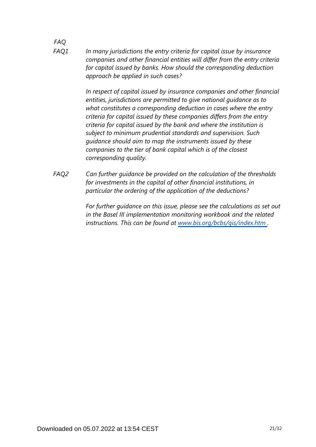*FAQ In many jurisdictions the entry criteria for capital issue by insurance companies and other financial entities will differ from the entry criteria for capital issued by banks. How should the corresponding deduction approach be applied in such cases? FAQ1*

> *In respect of capital issued by insurance companies and other financial entities, jurisdictions are permitted to give national guidance as to what constitutes a corresponding deduction in cases where the entry criteria for capital issued by these companies differs from the entry criteria for capital issued by the bank and where the institution is subject to minimum prudential standards and supervision. Such guidance should aim to map the instruments issued by these companies to the tier of bank capital which is of the closest corresponding quality.*

*Can further guidance be provided on the calculation of the thresholds for investments in the capital of other financial institutions, in particular the ordering of the application of the deductions? FAQ2*

> *For further guidance on this issue, please see the calculations as set out in the Basel III implementation monitoring workbook and the related instructions. This can be found at [www.bis.org/bcbs/qis/index.htm](https://www.bis.org/bcbs/qis/index.htm) .*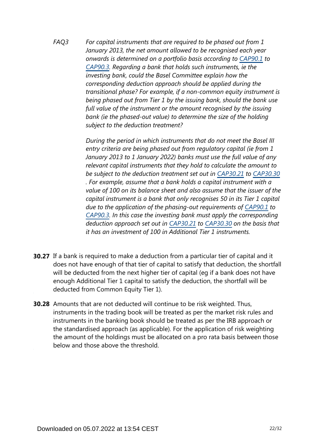*For capital instruments that are required to be phased out from 1 January 2013, the net amount allowed to be recognised each year onwards is determined on a portfolio basis according to [CAP90.1](https://www.bis.org/basel_framework/chapter/CAP/90.htm?tldate=20210228&inforce=20200403&published=20200403#paragraph_CAP_90_20200403_90_1) to [CAP90.3.](https://www.bis.org/basel_framework/chapter/CAP/90.htm?tldate=20210228&inforce=20200403&published=20200403#paragraph_CAP_90_20200403_90_3) Regarding a bank that holds such instruments, ie the investing bank, could the Basel Committee explain how the corresponding deduction approach should be applied during the transitional phase? For example, if a non-common equity instrument is being phased out from Tier 1 by the issuing bank, should the bank use full value of the instrument or the amount recognised by the issuing bank (ie the phased-out value) to determine the size of the holding subject to the deduction treatment? FAQ3*

> *During the period in which instruments that do not meet the Basel III entry criteria are being phased out from regulatory capital (ie from 1 January 2013 to 1 January 2022) banks must use the full value of any relevant capital instruments that they hold to calculate the amount to be subject to the deduction treatment set out in [CAP30.21](https://www.bis.org/basel_framework/chapter/CAP/30.htm?tldate=20210228&inforce=20191215&published=20191215#paragraph_CAP_30_20191215_30_21) to [CAP30.30](https://www.bis.org/basel_framework/chapter/CAP/30.htm?tldate=20210228&inforce=20191215&published=20191215#paragraph_CAP_30_20191215_30_30) . For example, assume that a bank holds a capital instrument with a value of 100 on its balance sheet and also assume that the issuer of the capital instrument is a bank that only recognises 50 in its Tier 1 capital due to the application of the phasing-out requirements of [CAP90.1](https://www.bis.org/basel_framework/chapter/CAP/90.htm?tldate=20210228&inforce=20200403&published=20200403#paragraph_CAP_90_20200403_90_1) to [CAP90.3.](https://www.bis.org/basel_framework/chapter/CAP/90.htm?tldate=20210228&inforce=20200403&published=20200403#paragraph_CAP_90_20200403_90_3) In this case the investing bank must apply the corresponding deduction approach set out in [CAP30.21](https://www.bis.org/basel_framework/chapter/CAP/30.htm?tldate=20210228&inforce=20191215&published=20191215#paragraph_CAP_30_20191215_30_21) to [CAP30.30](https://www.bis.org/basel_framework/chapter/CAP/30.htm?tldate=20210228&inforce=20191215&published=20191215#paragraph_CAP_30_20191215_30_30) on the basis that it has an investment of 100 in Additional Tier 1 instruments.*

- **30.27** If a bank is required to make a deduction from a particular tier of capital and it does not have enough of that tier of capital to satisfy that deduction, the shortfall will be deducted from the next higher tier of capital (eg if a bank does not have enough Additional Tier 1 capital to satisfy the deduction, the shortfall will be deducted from Common Equity Tier 1).
- **30.28** Amounts that are not deducted will continue to be risk weighted. Thus, instruments in the trading book will be treated as per the market risk rules and instruments in the banking book should be treated as per the IRB approach or the standardised approach (as applicable). For the application of risk weighting the amount of the holdings must be allocated on a pro rata basis between those below and those above the threshold.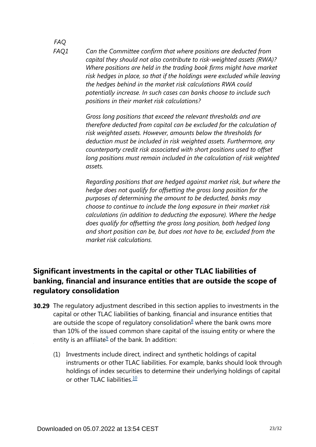*FAQ FAQ1*

*Can the Committee confirm that where positions are deducted from capital they should not also contribute to risk-weighted assets (RWA)? Where positions are held in the trading book firms might have market risk hedges in place, so that if the holdings were excluded while leaving the hedges behind in the market risk calculations RWA could potentially increase. In such cases can banks choose to include such positions in their market risk calculations?*

*Gross long positions that exceed the relevant thresholds and are therefore deducted from capital can be excluded for the calculation of risk weighted assets. However, amounts below the thresholds for deduction must be included in risk weighted assets. Furthermore, any counterparty credit risk associated with short positions used to offset long positions must remain included in the calculation of risk weighted assets.*

*Regarding positions that are hedged against market risk, but where the hedge does not qualify for offsetting the gross long position for the purposes of determining the amount to be deducted, banks may choose to continue to include the long exposure in their market risk calculations (in addition to deducting the exposure). Where the hedge does qualify for offsetting the gross long position, both hedged long and short position can be, but does not have to be, excluded from the market risk calculations.*

# **Significant investments in the capital or other TLAC liabilities of banking, financial and insurance entities that are outside the scope of regulatory consolidation**

- <span id="page-22-2"></span><span id="page-22-1"></span><span id="page-22-0"></span>**30.29** The regulatory adjustment described in this section applies to investments in the capital or other TLAC liabilities of banking, financial and insurance entities that are outside the scope of regulatory consolidation $8$  where the bank owns more than 10% of the issued common share capital of the issuing entity or where the entity is an affiliate $9$  of the bank. In addition:
	- (1) Investments include direct, indirect and synthetic holdings of capital instruments or other TLAC liabilities. For example, banks should look through holdings of index securities to determine their underlying holdings of capital or other TLAC liabilities. $\frac{10}{10}$  $\frac{10}{10}$  $\frac{10}{10}$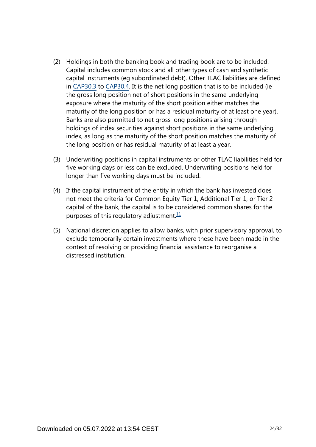- (2) Holdings in both the banking book and trading book are to be included. Capital includes common stock and all other types of cash and synthetic capital instruments (eg subordinated debt). Other TLAC liabilities are defined in [CAP30.3](https://www.bis.org/basel_framework/chapter/CAP/30.htm?tldate=20210228&inforce=20191215&published=20191215#paragraph_CAP_30_20191215_30_3) to [CAP30.4](https://www.bis.org/basel_framework/chapter/CAP/30.htm?tldate=20210228&inforce=20191215&published=20191215#paragraph_CAP_30_20191215_30_4). It is the net long position that is to be included (ie the gross long position net of short positions in the same underlying exposure where the maturity of the short position either matches the maturity of the long position or has a residual maturity of at least one year). Banks are also permitted to net gross long positions arising through holdings of index securities against short positions in the same underlying index, as long as the maturity of the short position matches the maturity of the long position or has residual maturity of at least a year.
- (3) Underwriting positions in capital instruments or other TLAC liabilities held for five working days or less can be excluded. Underwriting positions held for longer than five working days must be included.
- (4) If the capital instrument of the entity in which the bank has invested does not meet the criteria for Common Equity Tier 1, Additional Tier 1, or Tier 2 capital of the bank, the capital is to be considered common shares for the purposes of this regulatory adjustment. $11$
- <span id="page-23-0"></span>(5) National discretion applies to allow banks, with prior supervisory approval, to exclude temporarily certain investments where these have been made in the context of resolving or providing financial assistance to reorganise a distressed institution.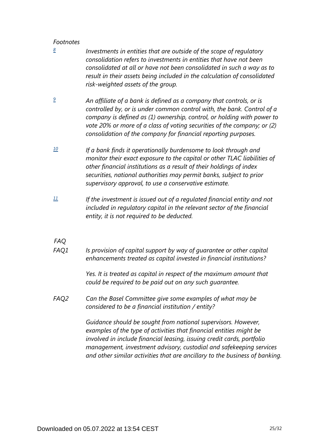#### *Footnotes*

- <span id="page-24-0"></span>*Investments in entities that are outside of the scope of regulatory consolidation refers to investments in entities that have not been consolidated at all or have not been consolidated in such a way as to result in their assets being included in the calculation of consolidated risk-weighted assets of the group. [8](#page-22-0)*
- <span id="page-24-1"></span>*An affiliate of a bank is defined as a company that controls, or is controlled by, or is under common control with, the bank. Control of a company is defined as (1) ownership, control, or holding with power to vote 20% or more of a class of voting securities of the company; or (2) consolidation of the company for financial reporting purposes. [9](#page-22-1)*
- <span id="page-24-2"></span>*If a bank finds it operationally burdensome to look through and monitor their exact exposure to the capital or other TLAC liabilities of other financial institutions as a result of their holdings of index securities, national authorities may permit banks, subject to prior supervisory approval, to use a conservative estimate. [10](#page-22-2)*
- <span id="page-24-3"></span>*If the investment is issued out of a regulated financial entity and not included in regulatory capital in the relevant sector of the financial entity, it is not required to be deducted. [11](#page-23-0)*

#### *FAQ*

*Is provision of capital support by way of guarantee or other capital enhancements treated as capital invested in financial institutions? FAQ1*

> *Yes. It is treated as capital in respect of the maximum amount that could be required to be paid out on any such guarantee.*

*Can the Basel Committee give some examples of what may be considered to be a financial institution / entity? FAQ2*

> *Guidance should be sought from national supervisors. However, examples of the type of activities that financial entities might be involved in include financial leasing, issuing credit cards, portfolio management, investment advisory, custodial and safekeeping services and other similar activities that are ancillary to the business of banking.*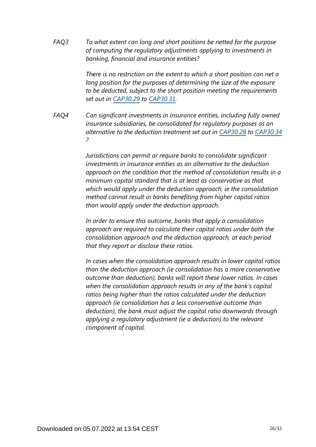*To what extent can long and short positions be netted for the purpose of computing the regulatory adjustments applying to investments in banking, financial and insurance entities? FAQ3*

> *There is no restriction on the extent to which a short position can net a long position for the purposes of determining the size of the exposure to be deducted, subject to the short position meeting the requirements set out in [CAP30.29](https://www.bis.org/basel_framework/chapter/CAP/30.htm?tldate=20210228&inforce=20191215&published=20191215#paragraph_CAP_30_20191215_30_29) to [CAP30.31.](https://www.bis.org/basel_framework/chapter/CAP/30.htm?tldate=20210228&inforce=20191215&published=20191215#paragraph_CAP_30_20191215_30_31)*

*Can significant investments in insurance entities, including fully owned insurance subsidiaries, be consolidated for regulatory purposes as an alternative to the deduction treatment set out in [CAP30.28](https://www.bis.org/basel_framework/chapter/CAP/30.htm?tldate=20210228&inforce=20191215&published=20191215#paragraph_CAP_30_20191215_30_28) to [CAP30.34](https://www.bis.org/basel_framework/chapter/CAP/30.htm?tldate=20210228&inforce=20191215&published=20191215#paragraph_CAP_30_20191215_30_34) ? FAQ4*

> *Jurisdictions can permit or require banks to consolidate significant investments in insurance entities as an alternative to the deduction approach on the condition that the method of consolidation results in a minimum capital standard that is at least as conservative as that which would apply under the deduction approach, ie the consolidation method cannot result in banks benefiting from higher capital ratios than would apply under the deduction approach.*

*In order to ensure this outcome, banks that apply a consolidation approach are required to calculate their capital ratios under both the consolidation approach and the deduction approach, at each period that they report or disclose these ratios.*

*In cases when the consolidation approach results in lower capital ratios than the deduction approach (ie consolidation has a more conservative outcome than deduction), banks will report these lower ratios. In cases when the consolidation approach results in any of the bank's capital ratios being higher than the ratios calculated under the deduction approach (ie consolidation has a less conservative outcome than deduction), the bank must adjust the capital ratio downwards through applying a regulatory adjustment (ie a deduction) to the relevant component of capital.*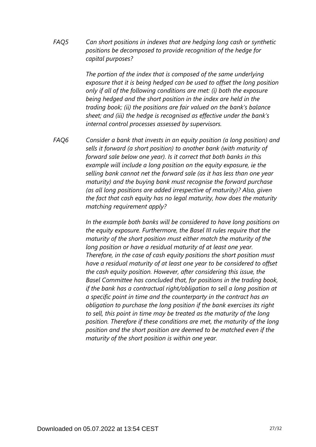*Can short positions in indexes that are hedging long cash or synthetic positions be decomposed to provide recognition of the hedge for capital purposes? FAQ5*

> *The portion of the index that is composed of the same underlying exposure that it is being hedged can be used to offset the long position only if all of the following conditions are met: (i) both the exposure being hedged and the short position in the index are held in the trading book; (ii) the positions are fair valued on the bank's balance sheet; and (iii) the hedge is recognised as effective under the bank's internal control processes assessed by supervisors.*

*Consider a bank that invests in an equity position (a long position) and sells it forward (a short position) to another bank (with maturity of forward sale below one year). Is it correct that both banks in this example will include a long position on the equity exposure, ie the selling bank cannot net the forward sale (as it has less than one year maturity) and the buying bank must recognise the forward purchase (as all long positions are added irrespective of maturity)? Also, given the fact that cash equity has no legal maturity, how does the maturity matching requirement apply? FAQ6*

> *In the example both banks will be considered to have long positions on the equity exposure. Furthermore, the Basel III rules require that the maturity of the short position must either match the maturity of the long position or have a residual maturity of at least one year. Therefore, in the case of cash equity positions the short position must have a residual maturity of at least one year to be considered to offset the cash equity position. However, after considering this issue, the Basel Committee has concluded that, for positions in the trading book, if the bank has a contractual right/obligation to sell a long position at a specific point in time and the counterparty in the contract has an obligation to purchase the long position if the bank exercises its right to sell, this point in time may be treated as the maturity of the long position. Therefore if these conditions are met, the maturity of the long position and the short position are deemed to be matched even if the maturity of the short position is within one year.*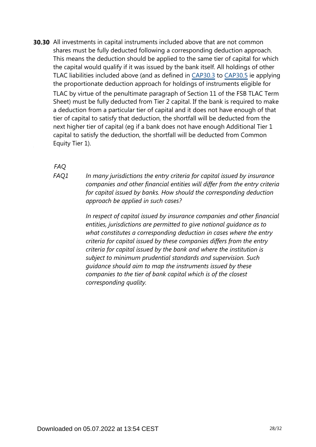**30.30** All investments in capital instruments included above that are not common shares must be fully deducted following a corresponding deduction approach. This means the deduction should be applied to the same tier of capital for which the capital would qualify if it was issued by the bank itself. All holdings of other TLAC liabilities included above (and as defined in [CAP30.3](https://www.bis.org/basel_framework/chapter/CAP/30.htm?tldate=20210228&inforce=20191215&published=20191215#paragraph_CAP_30_20191215_30_3) to [CAP30.5](https://www.bis.org/basel_framework/chapter/CAP/30.htm?tldate=20210228&inforce=20191215&published=20191215#paragraph_CAP_30_20191215_30_5) ie applying the proportionate deduction approach for holdings of instruments eligible for TLAC by virtue of the penultimate paragraph of Section 11 of the FSB TLAC Term Sheet) must be fully deducted from Tier 2 capital. If the bank is required to make a deduction from a particular tier of capital and it does not have enough of that tier of capital to satisfy that deduction, the shortfall will be deducted from the next higher tier of capital (eg if a bank does not have enough Additional Tier 1 capital to satisfy the deduction, the shortfall will be deducted from Common Equity Tier 1).

#### *FAQ*

*FAQ1*

*In many jurisdictions the entry criteria for capital issued by insurance companies and other financial entities will differ from the entry criteria for capital issued by banks. How should the corresponding deduction approach be applied in such cases?*

*In respect of capital issued by insurance companies and other financial entities, jurisdictions are permitted to give national guidance as to what constitutes a corresponding deduction in cases where the entry criteria for capital issued by these companies differs from the entry criteria for capital issued by the bank and where the institution is subject to minimum prudential standards and supervision. Such guidance should aim to map the instruments issued by these companies to the tier of bank capital which is of the closest corresponding quality.*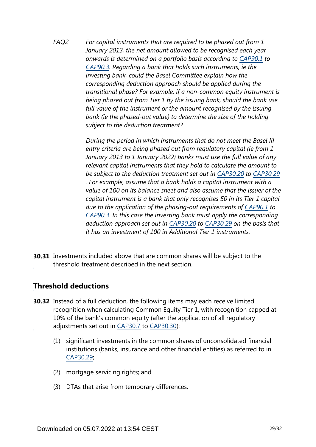*For capital instruments that are required to be phased out from 1 January 2013, the net amount allowed to be recognised each year onwards is determined on a portfolio basis according to [CAP90.1](https://www.bis.org/basel_framework/chapter/CAP/90.htm?tldate=20210228&inforce=20200403&published=20200403#paragraph_CAP_90_20200403_90_1) to [CAP90.3.](https://www.bis.org/basel_framework/chapter/CAP/90.htm?tldate=20210228&inforce=20200403&published=20200403#paragraph_CAP_90_20200403_90_3) Regarding a bank that holds such instruments, ie the investing bank, could the Basel Committee explain how the corresponding deduction approach should be applied during the transitional phase? For example, if a non-common equity instrument is being phased out from Tier 1 by the issuing bank, should the bank use full value of the instrument or the amount recognised by the issuing bank (ie the phased-out value) to determine the size of the holding subject to the deduction treatment? FAQ2*

> *During the period in which instruments that do not meet the Basel III entry criteria are being phased out from regulatory capital (ie from 1 January 2013 to 1 January 2022) banks must use the full value of any relevant capital instruments that they hold to calculate the amount to be subject to the deduction treatment set out in [CAP30.20](https://www.bis.org/basel_framework/chapter/CAP/30.htm?tldate=20210228&inforce=20191215&published=20191215#paragraph_CAP_30_20191215_30_20) to [CAP30.29](https://www.bis.org/basel_framework/chapter/CAP/30.htm?tldate=20210228&inforce=20191215&published=20191215#paragraph_CAP_30_20191215_30_29) . For example, assume that a bank holds a capital instrument with a value of 100 on its balance sheet and also assume that the issuer of the capital instrument is a bank that only recognises 50 in its Tier 1 capital due to the application of the phasing-out requirements of [CAP90.1](https://www.bis.org/basel_framework/chapter/CAP/90.htm?tldate=20210228&inforce=20200403&published=20200403#paragraph_CAP_90_20200403_90_1) to [CAP90.3.](https://www.bis.org/basel_framework/chapter/CAP/90.htm?tldate=20210228&inforce=20200403&published=20200403#paragraph_CAP_90_20200403_90_3) In this case the investing bank must apply the corresponding deduction approach set out in [CAP30.20](https://www.bis.org/basel_framework/chapter/CAP/30.htm?tldate=20210228&inforce=20191215&published=20191215#paragraph_CAP_30_20191215_30_20) to [CAP30.29](https://www.bis.org/basel_framework/chapter/CAP/30.htm?tldate=20210228&inforce=20191215&published=20191215#paragraph_CAP_30_20191215_30_29) on the basis that it has an investment of 100 in Additional Tier 1 instruments.*

**30.31** Investments included above that are common shares will be subject to the threshold treatment described in the next section.

## **Threshold deductions**

- **30.32** Instead of a full deduction, the following items may each receive limited recognition when calculating Common Equity Tier 1, with recognition capped at 10% of the bank's common equity (after the application of all regulatory adjustments set out in [CAP30.7](https://www.bis.org/basel_framework/chapter/CAP/30.htm?tldate=20210228&inforce=20191215&published=20191215#paragraph_CAP_30_20191215_30_7) to [CAP30.30\)](https://www.bis.org/basel_framework/chapter/CAP/30.htm?tldate=20210228&inforce=20191215&published=20191215#paragraph_CAP_30_20191215_30_30):
	- (1) significant investments in the common shares of unconsolidated financial institutions (banks, insurance and other financial entities) as referred to in [CAP30.29](https://www.bis.org/basel_framework/chapter/CAP/30.htm?tldate=20210228&inforce=20191215&published=20191215#paragraph_CAP_30_20191215_30_29);
	- (2) mortgage servicing rights; and
	- (3) DTAs that arise from temporary differences.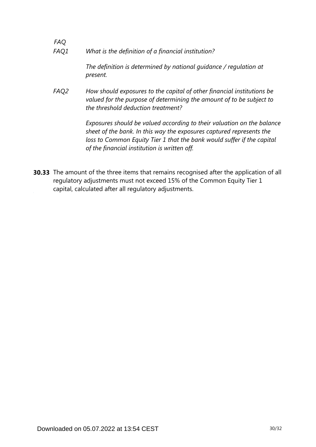*FAQ What is the definition of a financial institution? FAQ1*

> *The definition is determined by national guidance / regulation at present.*

*How should exposures to the capital of other financial institutions be valued for the purpose of determining the amount of to be subject to the threshold deduction treatment? FAQ2*

> *Exposures should be valued according to their valuation on the balance sheet of the bank. In this way the exposures captured represents the loss to Common Equity Tier 1 that the bank would suffer if the capital of the financial institution is written off.*

**30.33** The amount of the three items that remains recognised after the application of all regulatory adjustments must not exceed 15% of the Common Equity Tier 1 capital, calculated after all regulatory adjustments.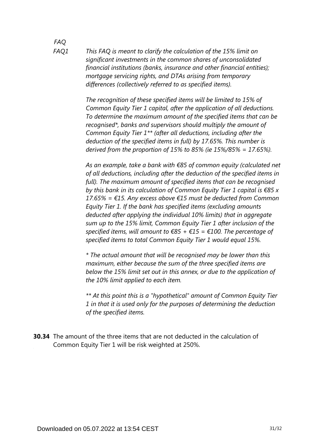*This FAQ is meant to clarify the calculation of the 15% limit on significant investments in the common shares of unconsolidated financial institutions (banks, insurance and other financial entities); mortgage servicing rights, and DTAs arising from temporary differences (collectively referred to as specified items).*

> *The recognition of these specified items will be limited to 15% of Common Equity Tier 1 capital, after the application of all deductions. To determine the maximum amount of the specified items that can be recognised\*, banks and supervisors should multiply the amount of Common Equity Tier 1\*\* (after all deductions, including after the deduction of the specified items in full) by 17.65%. This number is derived from the proportion of 15% to 85% (ie 15%/85% = 17.65%).*

*As an example, take a bank with €85 of common equity (calculated net of all deductions, including after the deduction of the specified items in full). The maximum amount of specified items that can be recognised by this bank in its calculation of Common Equity Tier 1 capital is €85 x 17.65% = €15. Any excess above €15 must be deducted from Common Equity Tier 1. If the bank has specified items (excluding amounts deducted after applying the individual 10% limits) that in aggregate sum up to the 15% limit, Common Equity Tier 1 after inclusion of the specified items, will amount to €85 + €15 = €100. The percentage of specified items to total Common Equity Tier 1 would equal 15%.*

*\* The actual amount that will be recognised may be lower than this maximum, either because the sum of the three specified items are below the 15% limit set out in this annex, or due to the application of the 10% limit applied to each item.*

*\*\* At this point this is a "hypothetical" amount of Common Equity Tier 1 in that it is used only for the purposes of determining the deduction of the specified items.*

**30.34** The amount of the three items that are not deducted in the calculation of Common Equity Tier 1 will be risk weighted at 250%.